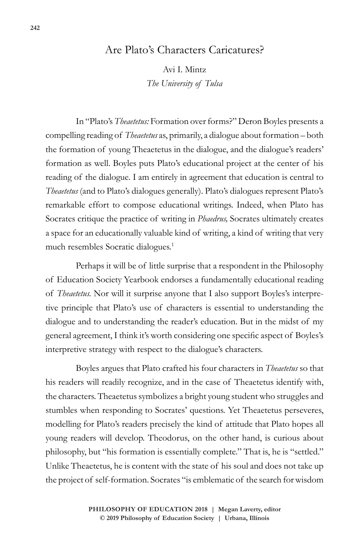## Are Plato's Characters Caricatures?

Avi I. Mintz *The University of Tulsa*

In "Plato's *Theaetetus:* Formation over forms?" Deron Boyles presents a compelling reading of *Theaetetus* as, primarily, a dialogue about formation – both the formation of young Theaetetus in the dialogue, and the dialogue's readers' formation as well. Boyles puts Plato's educational project at the center of his reading of the dialogue. I am entirely in agreement that education is central to *Theaetetus* (and to Plato's dialogues generally). Plato's dialogues represent Plato's remarkable effort to compose educational writings. Indeed, when Plato has Socrates critique the practice of writing in *Phaedrus,* Socrates ultimately creates a space for an educationally valuable kind of writing, a kind of writing that very much resembles Socratic dialogues.<sup>1</sup>

Perhaps it will be of little surprise that a respondent in the Philosophy of Education Society Yearbook endorses a fundamentally educational reading of *Theaetetus.* Nor will it surprise anyone that I also support Boyles's interpretive principle that Plato's use of characters is essential to understanding the dialogue and to understanding the reader's education. But in the midst of my general agreement, I think it's worth considering one specific aspect of Boyles's interpretive strategy with respect to the dialogue's characters.

Boyles argues that Plato crafted his four characters in *Theaetetus* so that his readers will readily recognize, and in the case of Theaetetus identify with, the characters. Theaetetus symbolizes a bright young student who struggles and stumbles when responding to Socrates' questions. Yet Theaetetus perseveres, modelling for Plato's readers precisely the kind of attitude that Plato hopes all young readers will develop. Theodorus, on the other hand, is curious about philosophy, but "his formation is essentially complete." That is, he is "settled." Unlike Theaetetus, he is content with the state of his soul and does not take up the project of self-formation. Socrates "is emblematic of the search for wisdom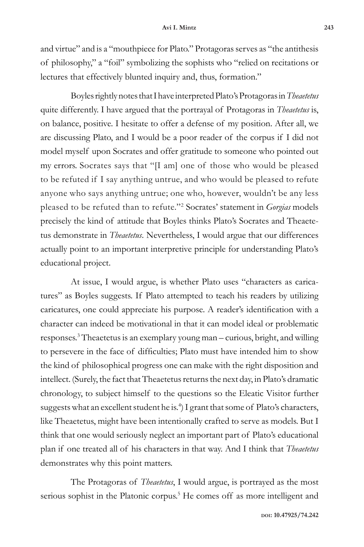and virtue" and is a "mouthpiece for Plato." Protagoras serves as "the antithesis of philosophy," a "foil" symbolizing the sophists who "relied on recitations or lectures that effectively blunted inquiry and, thus, formation."

Boyles rightly notes that I have interpreted Plato's Protagoras in *Theaetetus*  quite differently. I have argued that the portrayal of Protagoras in *Theaetetus* is, on balance, positive. I hesitate to offer a defense of my position. After all, we are discussing Plato, and I would be a poor reader of the corpus if I did not model myself upon Socrates and offer gratitude to someone who pointed out my errors. Socrates says that "[I am] one of those who would be pleased to be refuted if I say anything untrue, and who would be pleased to refute anyone who says anything untrue; one who, however, wouldn't be any less pleased to be refuted than to refute."2 Socrates' statement in *Gorgias* models precisely the kind of attitude that Boyles thinks Plato's Socrates and Theaetetus demonstrate in *Theaetetus*. Nevertheless, I would argue that our differences actually point to an important interpretive principle for understanding Plato's educational project.

At issue, I would argue, is whether Plato uses "characters as caricatures" as Boyles suggests. If Plato attempted to teach his readers by utilizing caricatures, one could appreciate his purpose. A reader's identification with a character can indeed be motivational in that it can model ideal or problematic responses.3 Theaetetus is an exemplary young man – curious, bright, and willing to persevere in the face of difficulties; Plato must have intended him to show the kind of philosophical progress one can make with the right disposition and intellect. (Surely, the fact that Theaetetus returns the next day, in Plato's dramatic chronology, to subject himself to the questions so the Eleatic Visitor further suggests what an excellent student he is.<sup>4</sup>) I grant that some of Plato's characters, like Theaetetus, might have been intentionally crafted to serve as models. But I think that one would seriously neglect an important part of Plato's educational plan if one treated all of his characters in that way. And I think that *Theaetetus*  demonstrates why this point matters.

The Protagoras of *Theaetetus*, I would argue, is portrayed as the most serious sophist in the Platonic corpus.<sup>5</sup> He comes off as more intelligent and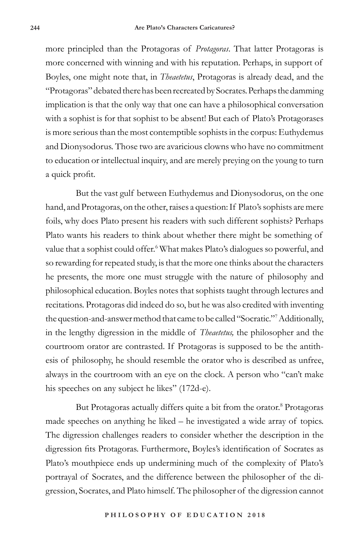more principled than the Protagoras of *Protagoras*. That latter Protagoras is more concerned with winning and with his reputation. Perhaps, in support of Boyles, one might note that, in *Theaetetus*, Protagoras is already dead, and the "Protagoras" debated there has been recreated by Socrates. Perhaps the damming implication is that the only way that one can have a philosophical conversation with a sophist is for that sophist to be absent! But each of Plato's Protagorases is more serious than the most contemptible sophists in the corpus: Euthydemus and Dionysodorus. Those two are avaricious clowns who have no commitment to education or intellectual inquiry, and are merely preying on the young to turn a quick profit.

But the vast gulf between Euthydemus and Dionysodorus, on the one hand, and Protagoras, on the other, raises a question: If Plato's sophists are mere foils, why does Plato present his readers with such different sophists? Perhaps Plato wants his readers to think about whether there might be something of value that a sophist could offer.<sup>6</sup> What makes Plato's dialogues so powerful, and so rewarding for repeated study, is that the more one thinks about the characters he presents, the more one must struggle with the nature of philosophy and philosophical education. Boyles notes that sophists taught through lectures and recitations. Protagoras did indeed do so, but he was also credited with inventing the question-and-answer method that came to be called "Socratic."7 Additionally, in the lengthy digression in the middle of *Theaetetus,* the philosopher and the courtroom orator are contrasted. If Protagoras is supposed to be the antithesis of philosophy, he should resemble the orator who is described as unfree, always in the courtroom with an eye on the clock. A person who "can't make his speeches on any subject he likes" (172d-e).

But Protagoras actually differs quite a bit from the orator.<sup>8</sup> Protagoras made speeches on anything he liked – he investigated a wide array of topics. The digression challenges readers to consider whether the description in the digression fits Protagoras. Furthermore, Boyles's identification of Socrates as Plato's mouthpiece ends up undermining much of the complexity of Plato's portrayal of Socrates, and the difference between the philosopher of the digression, Socrates, and Plato himself. The philosopher of the digression cannot